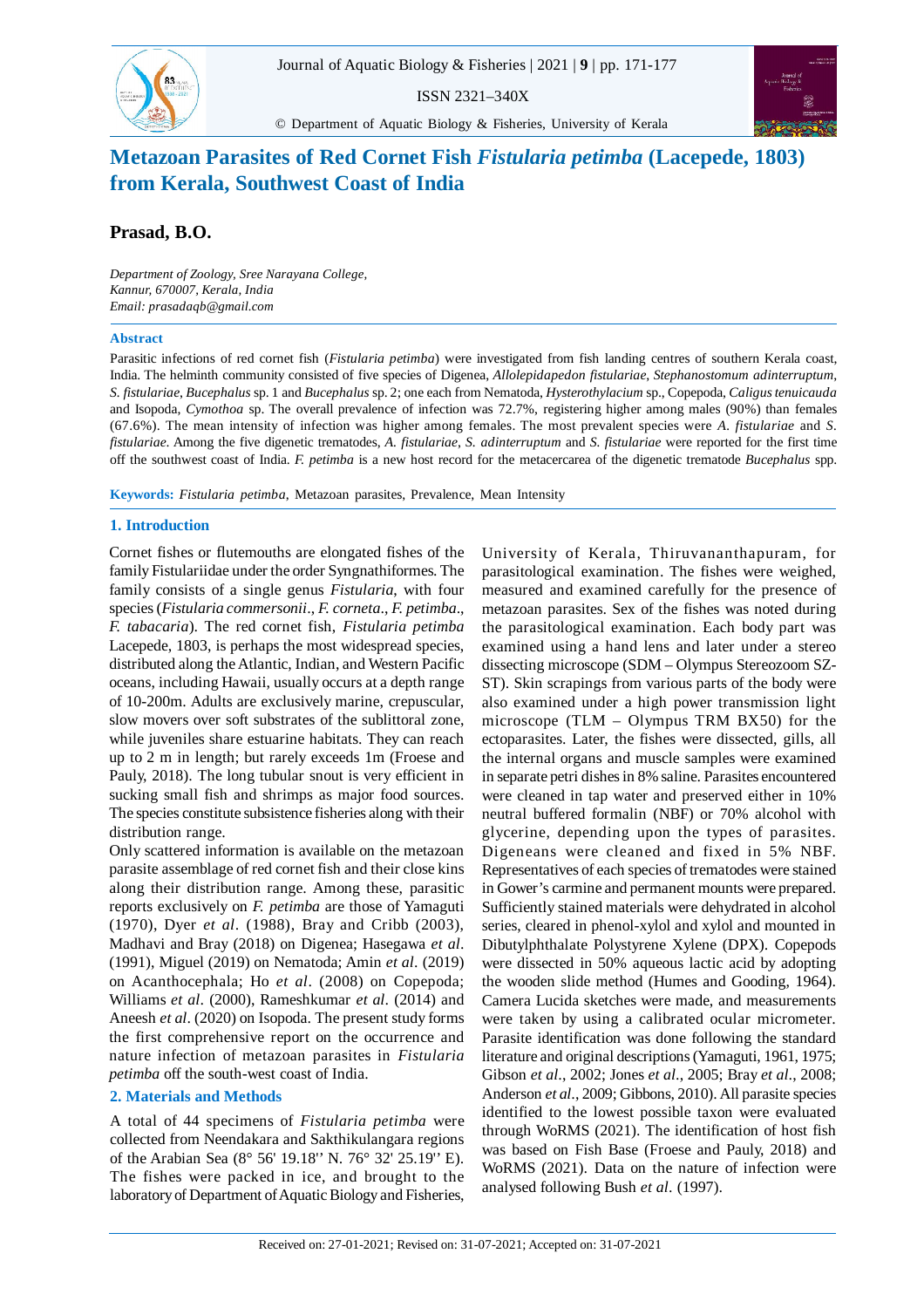

ISSN 2321–340X

© Department of Aquatic Biology & Fisheries, University of Kerala



# **Metazoan Parasites of Red Cornet Fish** *Fistularia petimba* **(Lacepede, 1803) from Kerala, Southwest Coast of India**

## **Prasad, B.O.**

*Department of Zoology, Sree Narayana College, Kannur, 670007, Kerala, India Email: prasadaqb@gmail.com*

#### **Abstract**

Parasitic infections of red cornet fish (*Fistularia petimba*) were investigated from fish landing centres of southern Kerala coast, India. The helminth community consisted of five species of Digenea, *Allolepidapedon fistulariae*, *Stephanostomum adinterruptum*, *S. fistulariae*, *Bucephalus* sp. 1 and *Bucephalus* sp. 2; one each from Nematoda, *Hysterothylacium* sp., Copepoda, *Caligus tenuicauda* and Isopoda, *Cymothoa* sp. The overall prevalence of infection was 72.7%, registering higher among males (90%) than females (67.6%). The mean intensity of infection was higher among females. The most prevalent species were *A. fistulariae* and *S. fistulariae*. Among the five digenetic trematodes, *A. fistulariae*, *S. adinterruptum* and *S. fistulariae* were reported for the first time off the southwest coast of India. *F. petimba* is a new host record for the metacercarea of the digenetic trematode *Bucephalus* spp.

**Keywords:** *Fistularia petimba*, Metazoan parasites, Prevalence, Mean Intensity

### **1. Introduction**

Cornet fishes or flutemouths are elongated fishes of the family Fistulariidae under the order Syngnathiformes. The family consists of a single genus *Fistularia*, with four species (*Fistularia commersonii*., *F. corneta*., *F. petimba*., *F. tabacaria*). The red cornet fish, *Fistularia petimba* Lacepede, 1803, is perhaps the most widespread species, distributed along the Atlantic, Indian, and Western Pacific oceans, including Hawaii, usually occurs at a depth range of 10-200m. Adults are exclusively marine, crepuscular, slow movers over soft substrates of the sublittoral zone, while juveniles share estuarine habitats. They can reach up to 2 m in length; but rarely exceeds 1m (Froese and Pauly, 2018). The long tubular snout is very efficient in sucking small fish and shrimps as major food sources. The species constitute subsistence fisheries along with their distribution range.

Only scattered information is available on the metazoan parasite assemblage of red cornet fish and their close kins along their distribution range. Among these, parasitic reports exclusively on *F. petimba* are those of Yamaguti (1970), Dyer *et al*. (1988), Bray and Cribb (2003), Madhavi and Bray (2018) on Digenea; Hasegawa *et al*. (1991), Miguel (2019) on Nematoda; Amin *et al*. (2019) on Acanthocephala; Ho *et al*. (2008) on Copepoda; Williams *et al*. (2000), Rameshkumar *et al*. (2014) and Aneesh *et al*. (2020) on Isopoda. The present study forms the first comprehensive report on the occurrence and nature infection of metazoan parasites in *Fistularia petimba* off the south-west coast of India.

## **2. Materials and Methods**

A total of 44 specimens of *Fistularia petimba* were collected from Neendakara and Sakthikulangara regions of the Arabian Sea (8° 56' 19.18'' N. 76° 32' 25.19'' E). The fishes were packed in ice, and brought to the laboratory of Department of Aquatic Biology and Fisheries,

University of Kerala, Thiruvananthapuram, for parasitological examination. The fishes were weighed, measured and examined carefully for the presence of metazoan parasites. Sex of the fishes was noted during the parasitological examination. Each body part was examined using a hand lens and later under a stereo dissecting microscope (SDM – Olympus Stereozoom SZ-ST). Skin scrapings from various parts of the body were also examined under a high power transmission light microscope (TLM – Olympus TRM BX50) for the ectoparasites. Later, the fishes were dissected, gills, all the internal organs and muscle samples were examined in separate petri dishes in 8% saline. Parasites encountered were cleaned in tap water and preserved either in 10% neutral buffered formalin (NBF) or 70% alcohol with glycerine, depending upon the types of parasites. Digeneans were cleaned and fixed in 5% NBF. Representatives of each species of trematodes were stained in Gower's carmine and permanent mounts were prepared. Sufficiently stained materials were dehydrated in alcohol series, cleared in phenol-xylol and xylol and mounted in Dibutylphthalate Polystyrene Xylene (DPX). Copepods were dissected in 50% aqueous lactic acid by adopting the wooden slide method (Humes and Gooding, 1964). Camera Lucida sketches were made, and measurements were taken by using a calibrated ocular micrometer. Parasite identification was done following the standard literature and original descriptions (Yamaguti, 1961, 1975; Gibson *et al*., 2002; Jones *et al*., 2005; Bray *et al*., 2008; Anderson *et al*., 2009; Gibbons, 2010). All parasite species identified to the lowest possible taxon were evaluated through WoRMS (2021). The identification of host fish was based on Fish Base (Froese and Pauly, 2018) and WoRMS (2021). Data on the nature of infection were analysed following Bush *et al*. (1997).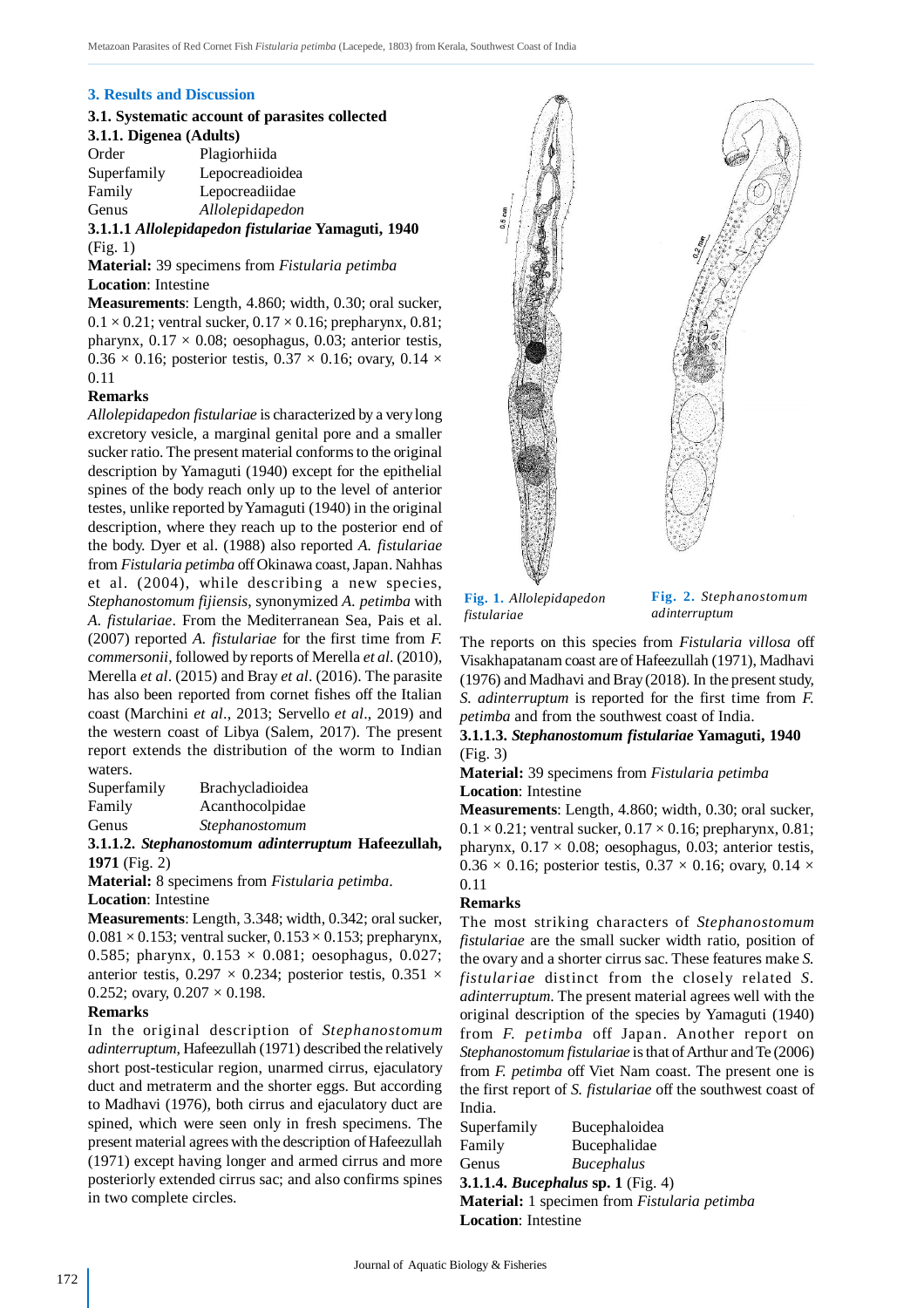## **3. Results and Discussion**

## **3.1. Systematic account of parasites collected 3.1.1. Digenea (Adults)**

| Plagiorhiida    |
|-----------------|
| Lepocreadioidea |
| Lepocreadiidae  |
| Allolepidapedon |
|                 |

**3.1.1.1** *Allolepidapedon fistulariae* **Yamaguti, 1940** (Fig. 1)

**Material:** 39 specimens from *Fistularia petimba* **Location**: Intestine

**Measurements**: Length, 4.860; width, 0.30; oral sucker,  $0.1 \times 0.21$ ; ventral sucker,  $0.17 \times 0.16$ ; prepharynx, 0.81; pharynx,  $0.17 \times 0.08$ ; oesophagus, 0.03; anterior testis,  $0.36 \times 0.16$ ; posterior testis,  $0.37 \times 0.16$ ; ovary,  $0.14 \times$ 0.11

### **Remarks**

*Allolepidapedon fistulariae* is characterized by a very long excretory vesicle, a marginal genital pore and a smaller sucker ratio. The present material conforms to the original description by Yamaguti (1940) except for the epithelial spines of the body reach only up to the level of anterior testes, unlike reported by Yamaguti (1940) in the original description, where they reach up to the posterior end of the body. Dyer et al. (1988) also reported *A. fistulariae* from *Fistularia petimba* off Okinawa coast, Japan. Nahhas et al. (2004), while describing a new species, *Stephanostomum fijiensis*, synonymized *A. petimba* with *A. fistulariae*. From the Mediterranean Sea, Pais et al. (2007) reported *A. fistulariae* for the first time from *F. commersonii*, followed by reports of Merella *et al*. (2010), Merella *et al*. (2015) and Bray *et al*. (2016). The parasite has also been reported from cornet fishes off the Italian coast (Marchini *et al*., 2013; Servello *et al*., 2019) and the western coast of Libya (Salem, 2017). The present report extends the distribution of the worm to Indian waters.

| Superfamily | Brachycladioidea |
|-------------|------------------|
| Family      | Acanthocolpidae  |
| Genus       | Stephanostomum   |
|             |                  |

**3.1.1.2.** *Stephanostomum adinterruptum* **Hafeezullah, 1971** (Fig. 2)

**Material:** 8 specimens from *Fistularia petimba*. **Location**: Intestine

**Measurements**: Length, 3.348; width, 0.342; oral sucker,  $0.081 \times 0.153$ ; ventral sucker,  $0.153 \times 0.153$ ; prepharynx, 0.585; pharynx,  $0.153 \times 0.081$ ; oesophagus, 0.027; anterior testis,  $0.297 \times 0.234$ ; posterior testis,  $0.351 \times$ 0.252; ovary,  $0.207 \times 0.198$ .

#### **Remarks**

In the original description of *Stephanostomum adinterruptum*, Hafeezullah (1971) described the relatively short post-testicular region, unarmed cirrus, ejaculatory duct and metraterm and the shorter eggs. But according to Madhavi (1976), both cirrus and ejaculatory duct are spined, which were seen only in fresh specimens. The present material agrees with the description of Hafeezullah (1971) except having longer and armed cirrus and more posteriorly extended cirrus sac; and also confirms spines in two complete circles.



**Fig. 1.** *Allolepidapedon fistulariae*

**Fig. 2.** *Stephanostomum adinterruptum*

The reports on this species from *Fistularia villosa* off Visakhapatanam coast are of Hafeezullah (1971), Madhavi (1976) and Madhavi and Bray (2018). In the present study, *S. adinterruptum* is reported for the first time from *F. petimba* and from the southwest coast of India.

**3.1.1.3.** *Stephanostomum fistulariae* **Yamaguti, 1940** (Fig. 3)

**Material:** 39 specimens from *Fistularia petimba* **Location**: Intestine

**Measurements**: Length, 4.860; width, 0.30; oral sucker,  $0.1 \times 0.21$ ; ventral sucker,  $0.17 \times 0.16$ ; prepharynx, 0.81; pharynx,  $0.17 \times 0.08$ ; oesophagus, 0.03; anterior testis,  $0.36 \times 0.16$ ; posterior testis,  $0.37 \times 0.16$ ; ovary,  $0.14 \times$ 0.11

#### **Remarks**

The most striking characters of *Stephanostomum fistulariae* are the small sucker width ratio, position of the ovary and a shorter cirrus sac. These features make *S. fistulariae* distinct from the closely related *S. adinterruptum*. The present material agrees well with the original description of the species by Yamaguti (1940) from *F. petimba* off Japan. Another report on *Stephanostomum fistulariae* is that of Arthur and Te (2006) from *F. petimba* off Viet Nam coast. The present one is the first report of *S. fistulariae* off the southwest coast of India.

| Superfamily                                      | Bucephaloidea     |  |  |  |
|--------------------------------------------------|-------------------|--|--|--|
| Family                                           | Bucephalidae      |  |  |  |
| Genus                                            | <i>Bucephalus</i> |  |  |  |
| <b>3.1.1.4.</b> <i>Bucephalus</i> sp. 1 (Fig. 4) |                   |  |  |  |
| Material: 1 specimen from Fistularia petimba     |                   |  |  |  |
| <b>Location:</b> Intestine                       |                   |  |  |  |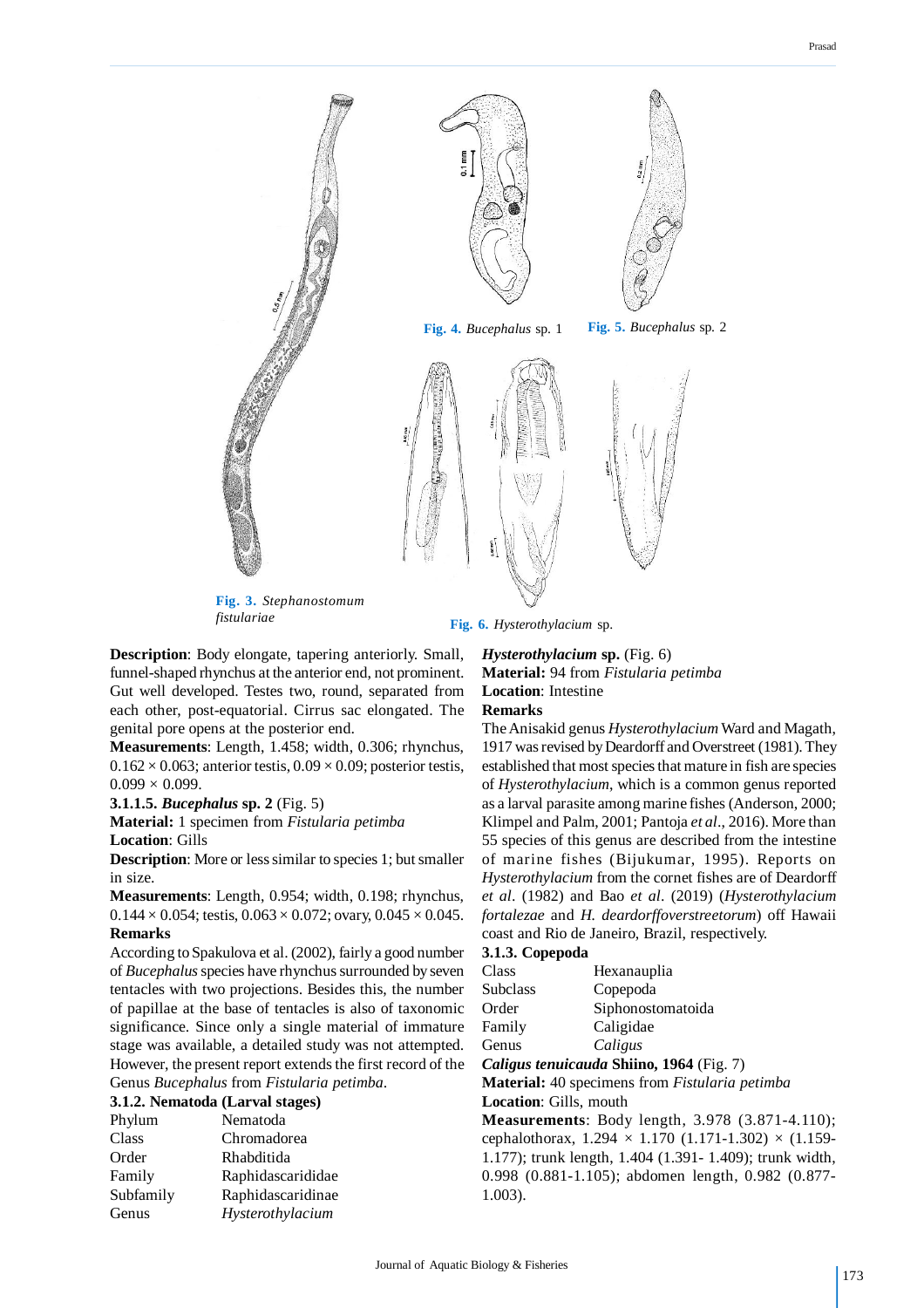

*fistulariae* **Fig. 6.** *Hysterothylacium* sp.

**Description**: Body elongate, tapering anteriorly. Small, funnel-shaped rhynchus at the anterior end, not prominent. Gut well developed. Testes two, round, separated from each other, post-equatorial. Cirrus sac elongated. The genital pore opens at the posterior end.

**Measurements**: Length, 1.458; width, 0.306; rhynchus,  $0.162 \times 0.063$ ; anterior testis,  $0.09 \times 0.09$ ; posterior testis,  $0.099 \times 0.099$ .

#### **3.1.1.5.** *Bucephalus* **sp. 2** (Fig. 5)

**Material:** 1 specimen from *Fistularia petimba* **Location**: Gills

**Description**: More or less similar to species 1; but smaller in size.

**Measurements**: Length, 0.954; width, 0.198; rhynchus,  $0.144 \times 0.054$ ; testis,  $0.063 \times 0.072$ ; ovary,  $0.045 \times 0.045$ . **Remarks**

According to Spakulova et al. (2002), fairly a good number of *Bucephalus* species have rhynchus surrounded by seven tentacles with two projections. Besides this, the number of papillae at the base of tentacles is also of taxonomic significance. Since only a single material of immature stage was available, a detailed study was not attempted. However, the present report extends the first record of the Genus *Bucephalus* from *Fistularia petimba*.

### **3.1.2. Nematoda (Larval stages)**

| Chromadorea<br>Class<br>Rhabditida<br>Order<br>Family<br>Subfamily<br>Hysterothylacium<br>Genus | Phylum | Nematoda          |
|-------------------------------------------------------------------------------------------------|--------|-------------------|
|                                                                                                 |        |                   |
|                                                                                                 |        |                   |
|                                                                                                 |        | Raphidascarididae |
|                                                                                                 |        | Raphidascaridinae |
|                                                                                                 |        |                   |

*Hysterothylacium* **sp.** (Fig. 6) **Material:** 94 from *Fistularia petimba* **Location**: Intestine **Remarks**

The Anisakid genus *Hysterothylacium* Ward and Magath, 1917 was revised by Deardorff and Overstreet (1981). They established that most species that mature in fish are species of *Hysterothylacium*, which is a common genus reported as a larval parasite among marine fishes (Anderson, 2000; Klimpel and Palm, 2001; Pantoja *et al*., 2016). More than 55 species of this genus are described from the intestine of marine fishes (Bijukumar, 1995). Reports on *Hysterothylacium* from the cornet fishes are of Deardorff *et al*. (1982) and Bao *et al*. (2019) (*Hysterothylacium fortalezae* and *H. deardorffoverstreetorum*) off Hawaii coast and Rio de Janeiro, Brazil, respectively.

| 3.1.3. Copepoda        |                                                                    |  |  |  |  |  |
|------------------------|--------------------------------------------------------------------|--|--|--|--|--|
| Class                  | Hexanauplia                                                        |  |  |  |  |  |
| <b>Subclass</b>        | Copepoda                                                           |  |  |  |  |  |
| Order                  | Siphonostomatoida                                                  |  |  |  |  |  |
| Family                 | Caligidae                                                          |  |  |  |  |  |
| Genus                  | Caligus                                                            |  |  |  |  |  |
|                        | Caligus tenuicauda Shiino, 1964 (Fig. 7)                           |  |  |  |  |  |
|                        | <b>Material:</b> 40 specimens from <i>Fistularia petimba</i>       |  |  |  |  |  |
| Location: Gills, mouth |                                                                    |  |  |  |  |  |
|                        | <b>Measurements:</b> Body length, 3.978 (3.871-4.110);             |  |  |  |  |  |
|                        | cephalothorax, $1.294 \times 1.170$ (1.171-1.302) $\times$ (1.159- |  |  |  |  |  |
|                        | 1.177); trunk length, 1.404 (1.391-1.409); trunk width,            |  |  |  |  |  |
|                        | 0.998 (0.881-1.105); abdomen length, 0.982 (0.877-                 |  |  |  |  |  |
| $1.003$ ).             |                                                                    |  |  |  |  |  |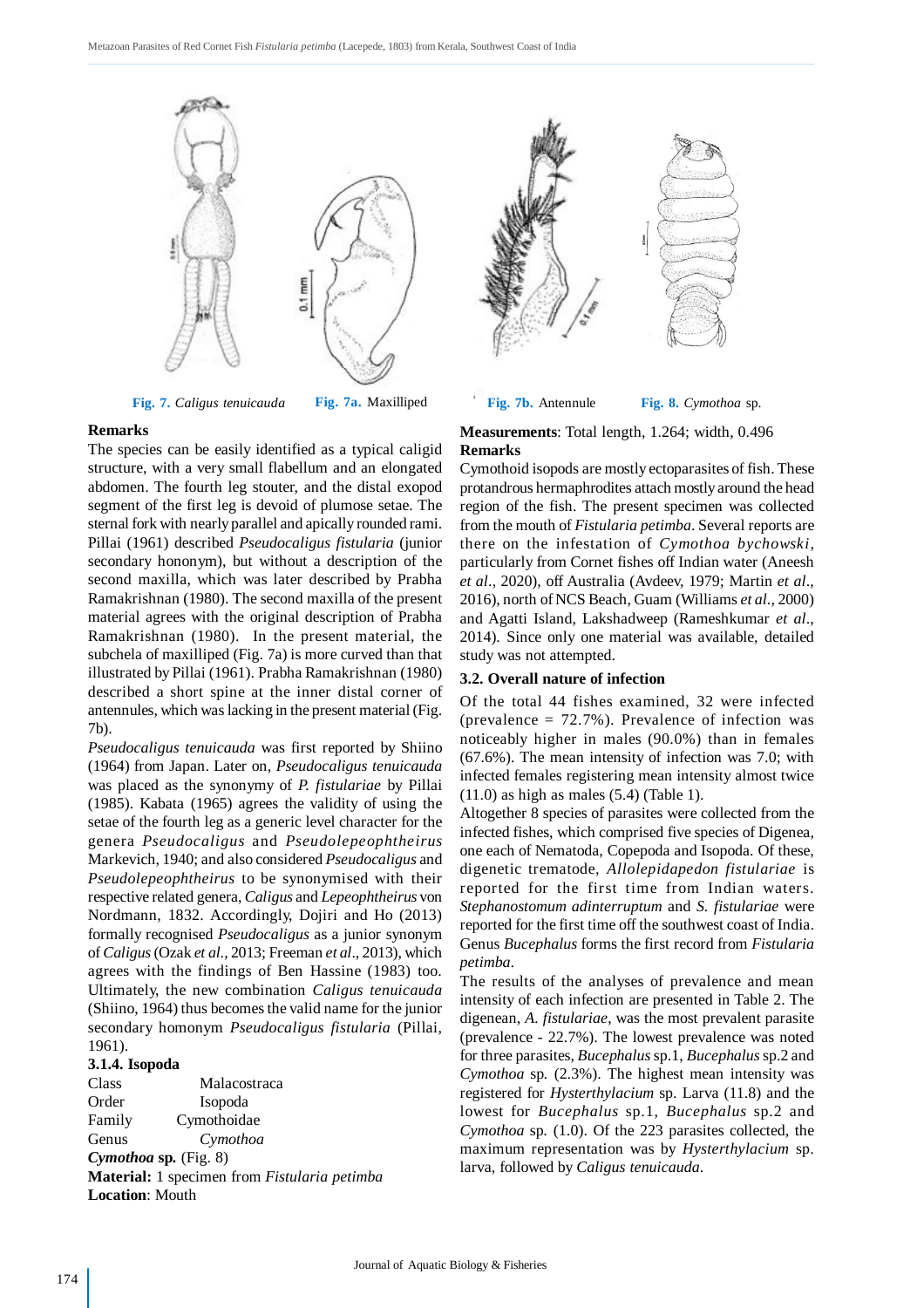



#### **Remarks**

The species can be easily identified as a typical caligid structure, with a very small flabellum and an elongated abdomen. The fourth leg stouter, and the distal exopod segment of the first leg is devoid of plumose setae. The sternal fork with nearly parallel and apically rounded rami. Pillai (1961) described *Pseudocaligus fistularia* (junior secondary hononym), but without a description of the second maxilla, which was later described by Prabha Ramakrishnan (1980). The second maxilla of the present material agrees with the original description of Prabha Ramakrishnan (1980). In the present material, the subchela of maxilliped (Fig. 7a) is more curved than that illustrated by Pillai (1961). Prabha Ramakrishnan (1980) described a short spine at the inner distal corner of antennules, which was lacking in the present material (Fig. 7b).

*Pseudocaligus tenuicauda* was first reported by Shiino (1964) from Japan. Later on, *Pseudocaligus tenuicauda* was placed as the synonymy of *P. fistulariae* by Pillai (1985). Kabata (1965) agrees the validity of using the setae of the fourth leg as a generic level character for the genera *Pseudocaligus* and *Pseudolepeophtheirus* Markevich, 1940; and also considered *Pseudocaligus* and *Pseudolepeophtheirus* to be synonymised with their respective related genera, *Caligus* and *Lepeophtheirus* von Nordmann, 1832. Accordingly, Dojiri and Ho (2013) formally recognised *Pseudocaligus* as a junior synonym of *Caligus* (Ozak *et al*., 2013; Freeman *et al*., 2013), which agrees with the findings of Ben Hassine (1983) too. Ultimately, the new combination *Caligus tenuicauda* (Shiino, 1964) thus becomes the valid name for the junior secondary homonym *Pseudocaligus fistularia* (Pillai, 1961).

### **3.1.4. Isopoda**

Class Malacostraca Order Isopoda Family Cymothoidae Genus *Cymothoa Cymothoa* **sp***.* (Fig. 8) **Material:** 1 specimen from *Fistularia petimba* **Location**: Mouth



**Fig. 8.** *Cymothoa* sp.

### **Measurements**: Total length, 1.264; width, 0.496 **Remarks**

Cymothoid isopods are mostly ectoparasites of fish. These protandrous hermaphrodites attach mostly around the head region of the fish. The present specimen was collected from the mouth of *Fistularia petimba*. Several reports are there on the infestation of *Cymothoa bychowski*, particularly from Cornet fishes off Indian water (Aneesh *et al*., 2020), off Australia (Avdeev, 1979; Martin *et al*., 2016), north of NCS Beach, Guam (Williams *et al*., 2000) and Agatti Island, Lakshadweep (Rameshkumar *et al*., 2014). Since only one material was available, detailed study was not attempted.

#### **3.2. Overall nature of infection**

Of the total 44 fishes examined, 32 were infected (prevalence  $= 72.7\%$ ). Prevalence of infection was noticeably higher in males (90.0%) than in females (67.6%). The mean intensity of infection was 7.0; with infected females registering mean intensity almost twice (11.0) as high as males (5.4) (Table 1).

Altogether 8 species of parasites were collected from the infected fishes, which comprised five species of Digenea, one each of Nematoda, Copepoda and Isopoda. Of these, digenetic trematode, *Allolepidapedon fistulariae* is reported for the first time from Indian waters. *Stephanostomum adinterruptum* and *S. fistulariae* were reported for the first time off the southwest coast of India. Genus *Bucephalus* forms the first record from *Fistularia petimba*.

The results of the analyses of prevalence and mean intensity of each infection are presented in Table 2. The digenean, *A. fistulariae*, was the most prevalent parasite (prevalence - 22.7%). The lowest prevalence was noted for three parasites, *Bucephalus* sp.1, *Bucephalus* sp.2 and *Cymothoa* sp*.* (2.3%). The highest mean intensity was registered for *Hysterthylacium* sp. Larva (11.8) and the lowest for *Bucephalus* sp.1, *Bucephalus* sp.2 and *Cymothoa* sp*.* (1.0). Of the 223 parasites collected, the maximum representation was by *Hysterthylacium* sp. larva, followed by *Caligus tenuicauda*.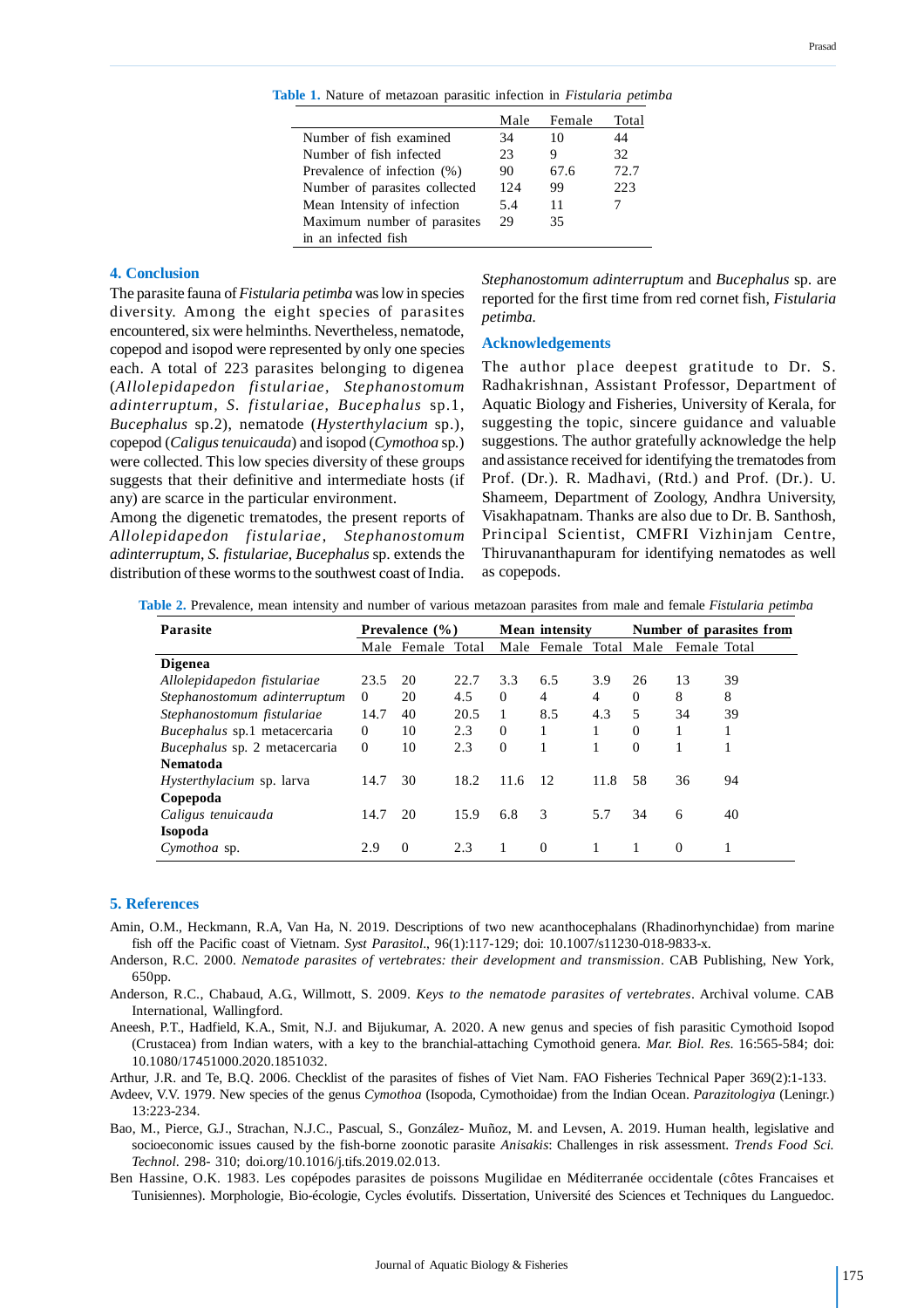|                               | Male | Female | Total |
|-------------------------------|------|--------|-------|
| Number of fish examined       | 34   | 10     | 44    |
| Number of fish infected       | 23   | 9      | 32    |
| Prevalence of infection (%)   | 90   | 67.6   | 72.7  |
| Number of parasites collected | 12.4 | 99     | 223   |
| Mean Intensity of infection   | 5.4  | 11     |       |
| Maximum number of parasites   | 29   | 35     |       |
| in an infected fish           |      |        |       |
|                               |      |        |       |

**Table 1.** Nature of metazoan parasitic infection in *Fistularia petimba*

#### **4. Conclusion**

The parasite fauna of *Fistularia petimba* was low in species diversity. Among the eight species of parasites encountered, six were helminths. Nevertheless, nematode, copepod and isopod were represented by only one species each. A total of 223 parasites belonging to digenea (*Allolepidapedon fistulariae, Stephanostomum adinterruptum, S. fistulariae, Bucephalus* sp.1, *Bucephalus* sp.2), nematode (*Hysterthylacium* sp.), copepod (*Caligus tenuicauda*) and isopod (*Cymothoa* sp*.*) were collected. This low species diversity of these groups suggests that their definitive and intermediate hosts (if any) are scarce in the particular environment.

Among the digenetic trematodes, the present reports of *Allolepidapedon fistulariae*, *Stephanostomum adinterruptum*, *S. fistulariae*, *Bucephalus* sp. extends the distribution of these worms to the southwest coast of India.

*Stephanostomum adinterruptum* and *Bucephalus* sp. are reported for the first time from red cornet fish, *Fistularia petimba.*

#### **Acknowledgements**

The author place deepest gratitude to Dr. S. Radhakrishnan, Assistant Professor, Department of Aquatic Biology and Fisheries, University of Kerala, for suggesting the topic, sincere guidance and valuable suggestions. The author gratefully acknowledge the help and assistance received for identifying the trematodes from Prof. (Dr.). R. Madhavi, (Rtd.) and Prof. (Dr.). U. Shameem, Department of Zoology, Andhra University, Visakhapatnam. Thanks are also due to Dr. B. Santhosh, Principal Scientist, CMFRI Vizhinjam Centre, Thiruvananthapuram for identifying nematodes as well as copepods.

**Table 2.** Prevalence, mean intensity and number of various metazoan parasites from male and female *Fistularia petimba*

| <b>Parasite</b>                  | Prevalence (%) |                   | <b>Mean</b> intensity |          |                        | Number of parasites from |                  |              |    |
|----------------------------------|----------------|-------------------|-----------------------|----------|------------------------|--------------------------|------------------|--------------|----|
|                                  |                | Male Female Total |                       |          | Male Female Total Male |                          |                  | Female Total |    |
| <b>Digenea</b>                   |                |                   |                       |          |                        |                          |                  |              |    |
| Allolepidapedon fistulariae      | 23.5           | 20                | 22.7                  | 3.3      | 6.5                    | 3.9                      | 26               | 13           | 39 |
| Stephanostomum adinterruptum     | $\Omega$       | 20                | 4.5                   | $\Omega$ | 4                      | 4                        | $\Omega$         | 8            | 8  |
| Stephanostomum fistulariae       | 14.7           | 40                | 20.5                  |          | 8.5                    | 4.3                      | 5                | 34           | 39 |
| Bucephalus sp.1 metacercaria     | $\Omega$       | 10                | 2.3                   | $\Omega$ |                        |                          | $\Omega$         |              |    |
| Bucephalus sp. 2 metacercaria    | $\mathbf{0}$   | 10                | 2.3                   | $\theta$ |                        | 1                        | $\boldsymbol{0}$ |              |    |
| <b>Nematoda</b>                  |                |                   |                       |          |                        |                          |                  |              |    |
| <i>Hysterthylacium</i> sp. larva | 14.7           | 30                | 18.2                  | 11.6     | -12                    | 11.8                     | 58               | 36           | 94 |
| Copepoda                         |                |                   |                       |          |                        |                          |                  |              |    |
| Caligus tenuicauda               | 14.7           | 20                | 15.9                  | 6.8      | 3                      | 5.7                      | 34               | 6            | 40 |
| <b>Isopoda</b>                   |                |                   |                       |          |                        |                          |                  |              |    |
| Cymothoa sp.                     | 2.9            | $\Omega$          | 2.3                   |          | $\Omega$               |                          |                  | $\Omega$     |    |

#### **5. References**

- Amin, O.M., Heckmann, R.A, Van Ha, N. 2019. Descriptions of two new acanthocephalans (Rhadinorhynchidae) from marine fish off the Pacific coast of Vietnam. *Syst Parasitol*., 96(1):117-129; doi: 10.1007/s11230-018-9833-x.
- Anderson, R.C. 2000. *Nematode parasites of vertebrates: their development and transmission*. CAB Publishing, New York, 650pp.
- Anderson, R.C., Chabaud, A.G., Willmott, S. 2009. *Keys to the nematode parasites of vertebrates*. Archival volume. CAB International, Wallingford.
- Aneesh, P.T., Hadfield, K.A., Smit, N.J. and Bijukumar, A. 2020. A new genus and species of fish parasitic Cymothoid Isopod (Crustacea) from Indian waters, with a key to the branchial-attaching Cymothoid genera. *Mar. Biol. Res*. 16:565-584; doi: 10.1080/17451000.2020.1851032.
- Arthur, J.R. and Te, B.Q. 2006. Checklist of the parasites of fishes of Viet Nam. FAO Fisheries Technical Paper 369(2):1-133.
- Avdeev, V.V. 1979. New species of the genus *Cymothoa* (Isopoda, Cymothoidae) from the Indian Ocean. *Parazitologiya* (Leningr.) 13:223-234.

Bao, M., Pierce, G.J., Strachan, N.J.C., Pascual, S., González- Muñoz, M. and Levsen, A. 2019. Human health, legislative and socioeconomic issues caused by the fish-borne zoonotic parasite *Anisakis*: Challenges in risk assessment. *Trends Food Sci. Technol*. 298- 310; doi.org/10.1016/j.tifs.2019.02.013.

Ben Hassine, O.K. 1983. Les copépodes parasites de poissons Mugilidae en Méditerranée occidentale (côtes Francaises et Tunisiennes). Morphologie, Bio-écologie, Cycles évolutifs. Dissertation, Université des Sciences et Techniques du Languedoc.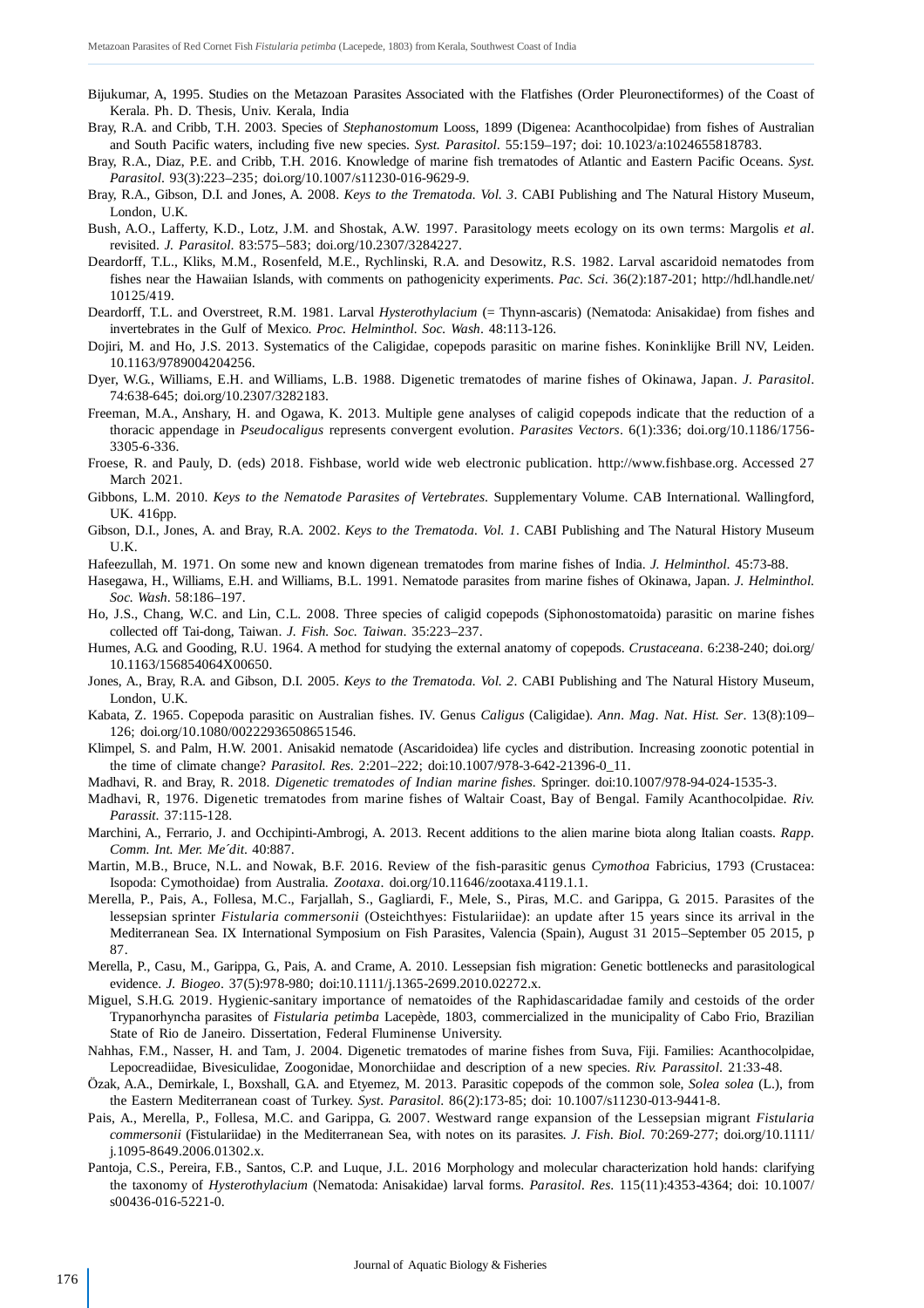- Bijukumar, A, 1995. Studies on the Metazoan Parasites Associated with the Flatfishes (Order Pleuronectiformes) of the Coast of Kerala. Ph. D. Thesis, Univ. Kerala, India
- Bray, R.A. and Cribb, T.H. 2003. Species of *Stephanostomum* Looss, 1899 (Digenea: Acanthocolpidae) from fishes of Australian and South Pacific waters, including five new species. *Syst. Parasitol*. 55:159–197; doi: 10.1023/a:1024655818783.
- Bray, R.A., Diaz, P.E. and Cribb, T.H. 2016. Knowledge of marine fish trematodes of Atlantic and Eastern Pacific Oceans. *Syst. Parasitol*. 93(3):223–235; doi.org/10.1007/s11230-016-9629-9.
- Bray, R.A., Gibson, D.I. and Jones, A. 2008. *Keys to the Trematoda. Vol. 3*. CABI Publishing and The Natural History Museum, London, U.K.
- Bush, A.O., Lafferty, K.D., Lotz, J.M. and Shostak, A.W. 1997. Parasitology meets ecology on its own terms: Margolis *et al*. revisited. *J. Parasitol*. 83:575–583; doi.org/10.2307/3284227.
- Deardorff, T.L., Kliks, M.M., Rosenfeld, M.E., Rychlinski, R.A. and Desowitz, R.S. 1982. Larval ascaridoid nematodes from fishes near the Hawaiian Islands, with comments on pathogenicity experiments. *Pac. Sci*. 36(2):187-201; http://hdl.handle.net/ 10125/419.
- Deardorff, T.L. and Overstreet, R.M. 1981. Larval *Hysterothylacium* (= Thynn-ascaris) (Nematoda: Anisakidae) from fishes and invertebrates in the Gulf of Mexico. *Proc. Helminthol. Soc. Wash*. 48:113-126.
- Dojiri, M. and Ho, J.S. 2013. Systematics of the Caligidae, copepods parasitic on marine fishes. Koninklijke Brill NV, Leiden. 10.1163/9789004204256.
- Dyer, W.G., Williams, E.H. and Williams, L.B. 1988. Digenetic trematodes of marine fishes of Okinawa, Japan. *J. Parasitol*. 74:638-645; doi.org/10.2307/3282183.
- Freeman, M.A., Anshary, H. and Ogawa, K. 2013. Multiple gene analyses of caligid copepods indicate that the reduction of a thoracic appendage in *Pseudocaligus* represents convergent evolution. *Parasites Vectors*. 6(1):336; doi.org/10.1186/1756- 3305-6-336.
- Froese, R. and Pauly, D. (eds) 2018. Fishbase, world wide web electronic publication. http://www.fishbase.org. Accessed 27 March 2021.
- Gibbons, L.M. 2010. *Keys to the Nematode Parasites of Vertebrates*. Supplementary Volume. CAB International. Wallingford, UK. 416pp.
- Gibson, D.I., Jones, A. and Bray, R.A. 2002. *Keys to the Trematoda. Vol. 1*. CABI Publishing and The Natural History Museum U.K.
- Hafeezullah, M. 1971. On some new and known digenean trematodes from marine fishes of India. *J. Helminthol*. 45:73-88.
- Hasegawa, H., Williams, E.H. and Williams, B.L. 1991. Nematode parasites from marine fishes of Okinawa, Japan. *J. Helminthol. Soc. Wash*. 58:186–197.
- Ho, J.S., Chang, W.C. and Lin, C.L. 2008. Three species of caligid copepods (Siphonostomatoida) parasitic on marine fishes collected off Tai-dong, Taiwan. *J. Fish. Soc. Taiwan*. 35:223–237.
- Humes, A.G. and Gooding, R.U. 1964. A method for studying the external anatomy of copepods. *Crustaceana*. 6:238-240; doi.org/ 10.1163/156854064X00650.
- Jones, A., Bray, R.A. and Gibson, D.I. 2005. *Keys to the Trematoda. Vol. 2*. CABI Publishing and The Natural History Museum, London, U.K.
- Kabata, Z. 1965. Copepoda parasitic on Australian fishes. IV. Genus *Caligus* (Caligidae). *Ann. Mag. Nat. Hist. Ser*. 13(8):109– 126; doi.org/10.1080/00222936508651546.
- Klimpel, S. and Palm, H.W. 2001. Anisakid nematode (Ascaridoidea) life cycles and distribution. Increasing zoonotic potential in the time of climate change? *Parasitol. Res*. 2:201–222; doi:10.1007/978-3-642-21396-0\_11.
- Madhavi, R. and Bray, R. 2018. *Digenetic trematodes of Indian marine fishes*. Springer. doi:10.1007/978-94-024-1535-3.
- Madhavi, R, 1976. Digenetic trematodes from marine fishes of Waltair Coast, Bay of Bengal. Family Acanthocolpidae. *Riv. Parassit*. 37:115-128.
- Marchini, A., Ferrario, J. and Occhipinti-Ambrogi, A. 2013. Recent additions to the alien marine biota along Italian coasts. *Rapp. Comm. Int. Mer. Me´dit*. 40:887.
- Martin, M.B., Bruce, N.L. and Nowak, B.F. 2016. Review of the fish-parasitic genus *Cymothoa* Fabricius, 1793 (Crustacea: Isopoda: Cymothoidae) from Australia. *Zootaxa*. doi.org/10.11646/zootaxa.4119.1.1.
- Merella, P., Pais, A., Follesa, M.C., Farjallah, S., Gagliardi, F., Mele, S., Piras, M.C. and Garippa, G. 2015. Parasites of the lessepsian sprinter *Fistularia commersonii* (Osteichthyes: Fistulariidae): an update after 15 years since its arrival in the Mediterranean Sea. IX International Symposium on Fish Parasites, Valencia (Spain), August 31 2015–September 05 2015, p 87.
- Merella, P., Casu, M., Garippa, G., Pais, A. and Crame, A. 2010. Lessepsian fish migration: Genetic bottlenecks and parasitological evidence. *J. Biogeo*. 37(5):978-980; doi:10.1111/j.1365-2699.2010.02272.x.
- Miguel, S.H.G. 2019. Hygienic-sanitary importance of nematoides of the Raphidascaridadae family and cestoids of the order Trypanorhyncha parasites of *Fistularia petimba* Lacepède, 1803, commercialized in the municipality of Cabo Frio, Brazilian State of Rio de Janeiro. Dissertation, Federal Fluminense University.
- Nahhas, F.M., Nasser, H. and Tam, J. 2004. Digenetic trematodes of marine fishes from Suva, Fiji. Families: Acanthocolpidae, Lepocreadiidae, Bivesiculidae, Zoogonidae, Monorchiidae and description of a new species. *Riv. Parassitol*. 21:33-48.
- Özak, A.A., Demirkale, I., Boxshall, G.A. and Etyemez, M. 2013. Parasitic copepods of the common sole, *Solea solea* (L.), from the Eastern Mediterranean coast of Turkey. *Syst. Parasitol*. 86(2):173-85; doi: 10.1007/s11230-013-9441-8.
- Pais, A., Merella, P., Follesa, M.C. and Garippa, G. 2007. Westward range expansion of the Lessepsian migrant *Fistularia commersonii* (Fistulariidae) in the Mediterranean Sea, with notes on its parasites*. J. Fish. Biol*. 70:269-277; doi.org/10.1111/ j.1095-8649.2006.01302.x.
- Pantoja, C.S., Pereira, F.B., Santos, C.P. and Luque, J.L. 2016 Morphology and molecular characterization hold hands: clarifying the taxonomy of *Hysterothylacium* (Nematoda: Anisakidae) larval forms. *Parasitol. Res*. 115(11):4353-4364; doi: 10.1007/ s00436-016-5221-0.